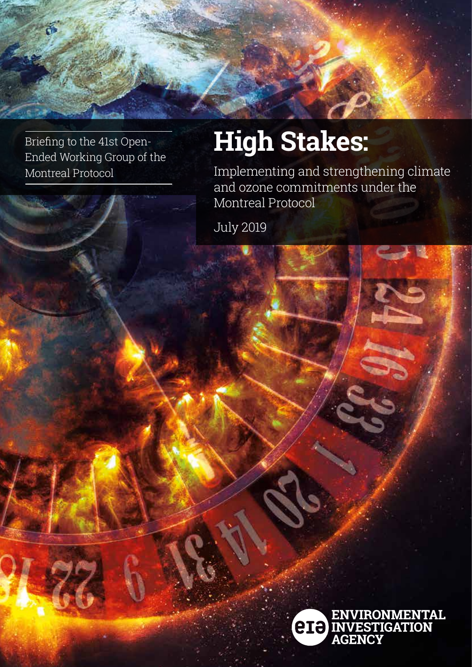Briefing to the 41st Open-Ended Working Group of the Montreal Protocol

# **High Stakes:**

Implementing and strengthening climate and ozone commitments under the Montreal Protocol

July 2019

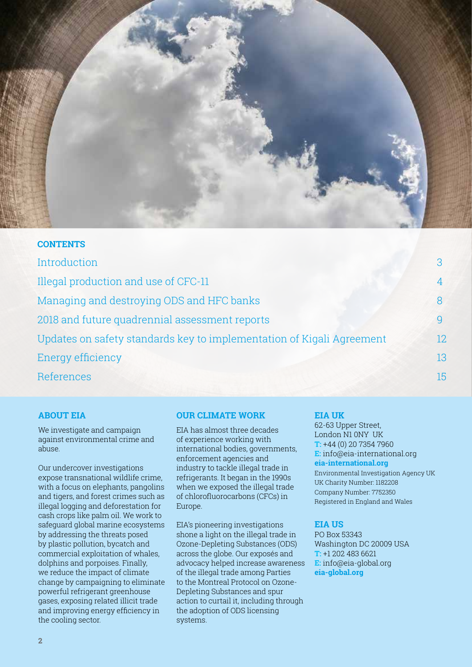

#### **CONTENTS**

| Introduction                                                          |     |
|-----------------------------------------------------------------------|-----|
| Illegal production and use of CFC-11                                  |     |
| Managing and destroying ODS and HFC banks                             |     |
| 2018 and future quadrennial assessment reports                        |     |
| Updates on safety standards key to implementation of Kigali Agreement | 12. |
| Energy efficiency                                                     | 13  |
| References                                                            | 15  |

### **We would like to thank ABOUT EIA**

we investigate and campaign against environmental crime and<br>abuas cus aci oditaquates dolorem volta quattro dolorem volta quattro dolorem volta quattro dolorem volta quattro do<br>Este dolorem volta quattro dolorem volta quattro dolorem volta quattro dolorem volta quattro dolorem volta qua We investigate and campaign abuse.

Our undercover investigations our undercover investigations<br>expose transnational wildlife crime, expose dunonational whalle ornine,<br>with a focus on elephants, pangolins with a roods on crephante, pangonno<br>and tigers, and forest crimes such as and tigers, and refeat offines sach at<br>illegal logging and deforestation for megar regging and deforestation for<br>cash crops like palm oil. We work to baan oropo inte paint on: We work to<br>safeguard global marine ecosystems odregadra global manne eoobybeems<br>by addressing the threats posed by dadressing the tineats posed<br>by plastic pollution, bycatch and by plastic penation, by saten and<br>commercial exploitation of whales, commercial exploration or whale<br>dolphins and porpoises. Finally, as prime and perpenses: r many,<br>we reduce the impact of climate we reddee the impact or official<br>change by campaigning to eliminate onange by oampaigning to emim<br>powerful refrigerant greenhouse gases, exposing related illicit trade and improving energy efficiency in the cooling sector.

### **ABOUT EIA OUR CLIMATE WORK**

and these campaign are designed in the care of experience working with or experience working with<br>international bodies, governments, enforcement agencies and industry to tackle illegal trade in refrigerants. It began in the 1990s when we exposed the illegal trade of chlorofluorocarbons (CFCs) in  $\blacksquare$ Europe. We work to be work to be work to to EIA has almost three decades

EIA's pioneering investigations shone a light on the illegal trade in Ozone-Depleting Substances (ODS) across the globe. Our exposés and advocacy helped increase awareness of the illegal trade among Parties to the Montreal Protocol on Ozone-Depleting Substances and spur action to curtail it, including through the adoption of ODS licensing systems.

#### **EIA UK**

**EIA UK** 62-63 Upper Street, 62-63 Upper Street, London N1 0NY UK London N1 0NY UK **T:** +44 (0) 20 7354 7960 **T:** +44 (0) 20 7354 7960 **E:** info@eia-international.org **E:** ukinfo@eia-international.org **eia-international.org eia-international.org** Environmental Investigation Agency UK Company Number: 7752350 Registered in England and Wales UK Charity Number: 1182208

### **TEIA US**

**E: E:** E: **E: PO Box 53343 eia-global.org** Washington DC 20009 USA  $\Gamma$  infection algebra  $\Gamma$ **E**: info@eia-global.org<br>ais\_alabel.org VAT Number: 440569842. Registered **eia-global.org T:** +1 202 483 6621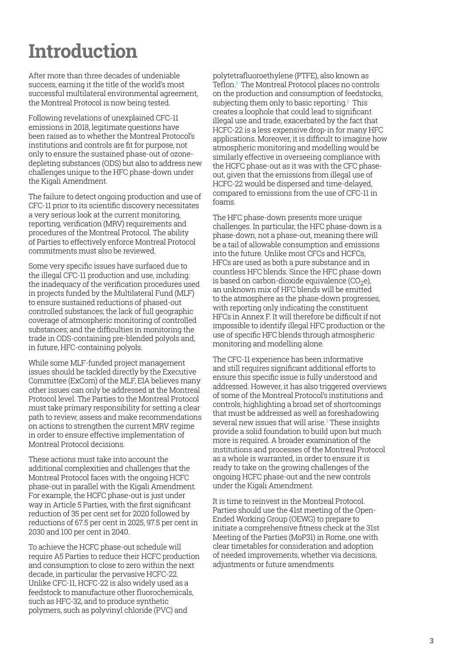### **Introduction**

After more than three decades of undeniable success, earning it the title of the world's most successful multilateral environmental agreement, the Montreal Protocol is now being tested.

Following revelations of unexplained CFC-11 emissions in 2018, legitimate questions have been raised as to whether the Montreal Protocol's institutions and controls are fit for purpose, not only to ensure the sustained phase-out of ozonedepleting substances (ODS) but also to address new challenges unique to the HFC phase-down under the Kigali Amendment.

The failure to detect ongoing production and use of CFC-11 prior to its scientific discovery necessitates a very serious look at the current monitoring, reporting, verification (MRV) requirements and procedures of the Montreal Protocol. The ability of Parties to effectively enforce Montreal Protocol commitments must also be reviewed.

Some very specific issues have surfaced due to the illegal CFC-11 production and use, including: the inadequacy of the verification procedures used in projects funded by the Multilateral Fund (MLF) to ensure sustained reductions of phased-out controlled substances; the lack of full geographic coverage of atmospheric monitoring of controlled substances; and the difficulties in monitoring the trade in ODS-containing pre-blended polyols and, in future, HFC-containing polyols.

While some MLF-funded project management issues should be tackled directly by the Executive Committee (ExCom) of the MLF, EIA believes many other issues can only be addressed at the Montreal Protocol level. The Parties to the Montreal Protocol must take primary responsibility for setting a clear path to review, assess and make recommendations on actions to strengthen the current MRV regime in order to ensure effective implementation of Montreal Protocol decisions.

These actions must take into account the additional complexities and challenges that the Montreal Protocol faces with the ongoing HCFC phase-out in parallel with the Kigali Amendment. For example, the HCFC phase-out is just under way in Article 5 Parties, with the first significant reduction of 35 per cent set for 2020 followed by reductions of 67.5 per cent in 2025, 97.5 per cent in 2030 and 100 per cent in 2040.

To achieve the HCFC phase-out schedule will require A5 Parties to reduce their HCFC production and consumption to close to zero within the next decade, in particular the pervasive HCFC-22. Unlike CFC-11, HCFC-22 is also widely used as a feedstock to manufacture other fluorochemicals, such as HFC-32, and to produce synthetic polymers, such as polyvinyl chloride (PVC) and

polytetrafluoroethylene (PTFE), also known as Teflon.1 The Montreal Protocol places no controls on the production and consumption of feedstocks, subjecting them only to basic reporting. $^2$  This creates a loophole that could lead to significant illegal use and trade, exacerbated by the fact that HCFC-22 is a less expensive drop-in for many HFC applications. Moreover, it is difficult to imagine how atmospheric monitoring and modelling would be similarly effective in overseeing compliance with the HCFC phase-out as it was with the CFC phaseout, given that the emissions from illegal use of HCFC-22 would be dispersed and time-delayed, compared to emissions from the use of CFC-11 in foams.

The HFC phase-down presents more unique challenges. In particular, the HFC phase-down is a phase-down, not a phase-out, meaning there will be a tail of allowable consumption and emissions into the future. Unlike most CFCs and HCFCs, HFCs are used as both a pure substance and in countless HFC blends. Since the HFC phase-down is based on carbon-dioxide equivalence  $(CO<sub>2</sub>e)$ , an unknown mix of HFC blends will be emitted to the atmosphere as the phase-down progresses, with reporting only indicating the constituent HFCs in Annex F. It will therefore be difficult if not impossible to identify illegal HFC production or the use of specific HFC blends through atmospheric monitoring and modelling alone.

The CFC-11 experience has been informative and still requires significant additional efforts to ensure this specific issue is fully understood and addressed. However, it has also triggered overviews of some of the Montreal Protocol's institutions and controls, highlighting a broad set of shortcomings that must be addressed as well as foreshadowing several new issues that will arise.<sup>3</sup> These insights provide a solid foundation to build upon but much more is required. A broader examination of the institutions and processes of the Montreal Protocol as a whole is warranted, in order to ensure it is ready to take on the growing challenges of the ongoing HCFC phase-out and the new controls under the Kigali Amendment.

It is time to reinvest in the Montreal Protocol. Parties should use the 41st meeting of the Open-Ended Working Group (OEWG) to prepare to initiate a comprehensive fitness check at the 31st Meeting of the Parties (MoP31) in Rome, one with clear timetables for consideration and adoption of needed improvements, whether via decisions, adjustments or future amendments.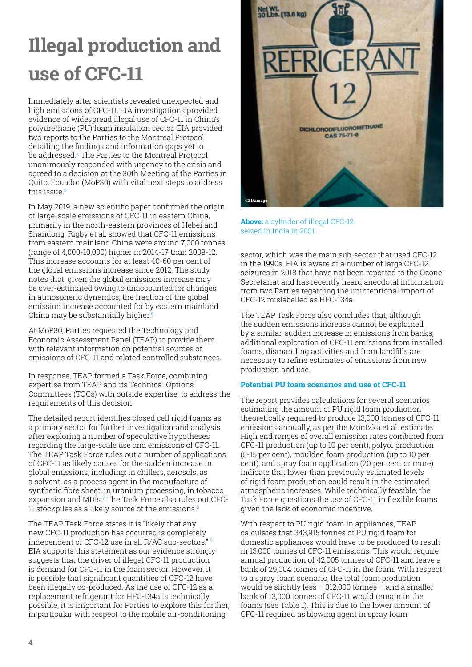## **Illegal production and use of CFC-11**

Immediately after scientists revealed unexpected and high emissions of CFC-11, EIA investigations provided evidence of widespread illegal use of CFC-11 in China's polyurethane (PU) foam insulation sector. EIA provided two reports to the Parties to the Montreal Protocol detailing the findings and information gaps yet to be addressed.4 The Parties to the Montreal Protocol unanimously responded with urgency to the crisis and agreed to a decision at the 30th Meeting of the Parties in Quito, Ecuador (MoP30) with vital next steps to address this issue.<sup>5</sup>

In May 2019, a new scientific paper confirmed the origin of large-scale emissions of CFC-11 in eastern China, primarily in the north-eastern provinces of Hebei and Shandong. Rigby et al. showed that CFC-11 emissions from eastern mainland China were around 7,000 tonnes (range of 4,000-10,000) higher in 2014-17 than 2008-12. This increase accounts for at least 40-60 per cent of the global emissions increase since 2012. The study notes that, given the global emissions increase may be over-estimated owing to unaccounted for changes in atmospheric dynamics, the fraction of the global emission increase accounted for by eastern mainland China may be substantially higher. $6$ 

At MoP30, Parties requested the Technology and Economic Assessment Panel (TEAP) to provide them with relevant information on potential sources of emissions of CFC-11 and related controlled substances.

In response, TEAP formed a Task Force, combining expertise from TEAP and its Technical Options Committees (TOCs) with outside expertise, to address the requirements of this decision.

The detailed report identifies closed cell rigid foams as a primary sector for further investigation and analysis after exploring a number of speculative hypotheses regarding the large-scale use and emissions of CFC-11. The TEAP Task Force rules out a number of applications of CFC-11 as likely causes for the sudden increase in global emissions, including: in chillers, aerosols, as a solvent, as a process agent in the manufacture of synthetic fibre sheet, in uranium processing, in tobacco expansion and MDIs.7 The Task Force also rules out CFC-11 stockpiles as a likely source of the emissions.<sup>8</sup>

The TEAP Task Force states it is "likely that any new CFC-11 production has occurred is completely independent of CFC-12 use in all R/AC sub-sectors." EIA supports this statement as our evidence strongly suggests that the driver of illegal CFC-11 production is demand for CFC-11 in the foam sector. However, it is possible that significant quantities of CFC-12 have been illegally co-produced. As the use of CFC-12 as a replacement refrigerant for HFC-134a is technically possible, it is important for Parties to explore this further, in particular with respect to the mobile air-conditioning



**Above:** a cylinder of illegal CFC-12 seized in India in 2001

sector, which was the main sub-sector that used CFC-12 in the 1990s. EIA is aware of a number of large CFC-12 seizures in 2018 that have not been reported to the Ozone Secretariat and has recently heard anecdotal information from two Parties regarding the unintentional import of CFC-12 mislabelled as HFC-134a.

The TEAP Task Force also concludes that, although the sudden emissions increase cannot be explained by a similar, sudden increase in emissions from banks, additional exploration of CFC-11 emissions from installed foams, dismantling activities and from landfills are necessary to refine estimates of emissions from new production and use.

#### **Potential PU foam scenarios and use of CFC-11**

The report provides calculations for several scenarios estimating the amount of PU rigid foam production theoretically required to produce 13,000 tonnes of CFC-11 emissions annually, as per the Montzka et al. estimate. High end ranges of overall emission rates combined from CFC-11 production (up to 10 per cent), polyol production (5-15 per cent), moulded foam production (up to 10 per cent), and spray foam application (20 per cent or more) indicate that lower than previously estimated levels of rigid foam production could result in the estimated atmospheric increases. While technically feasible, the Task Force questions the use of CFC-11 in flexible foams given the lack of economic incentive.

With respect to PU rigid foam in appliances, TEAP calculates that 343,915 tonnes of PU rigid foam for domestic appliances would have to be produced to result in 13,000 tonnes of CFC-11 emissions. This would require annual production of 42,005 tonnes of CFC-11 and leave a bank of 29,004 tonnes of CFC-11 in the foam. With respect to a spray foam scenario, the total foam production would be slightly less – 312,000 tonnes – and a smaller bank of 13,000 tonnes of CFC-11 would remain in the foams (see Table 1). This is due to the lower amount of CFC-11 required as blowing agent in spray foam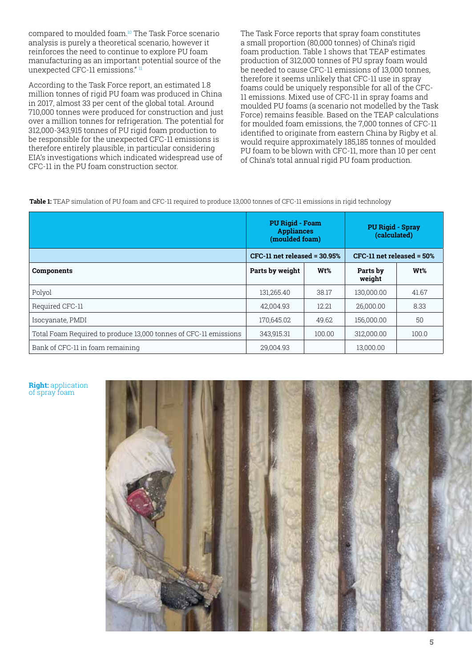compared to moulded foam.10 The Task Force scenario analysis is purely a theoretical scenario, however it reinforces the need to continue to explore PU foam manufacturing as an important potential source of the unexpected CFC-11 emissions." 11

According to the Task Force report, an estimated 1.8 million tonnes of rigid PU foam was produced in China in 2017, almost 33 per cent of the global total. Around 710,000 tonnes were produced for construction and just over a million tonnes for refrigeration. The potential for 312,000-343,915 tonnes of PU rigid foam production to be responsible for the unexpected CFC-11 emissions is therefore entirely plausible, in particular considering EIA's investigations which indicated widespread use of CFC-11 in the PU foam construction sector.

The Task Force reports that spray foam constitutes a small proportion (80,000 tonnes) of China's rigid foam production. Table 1 shows that TEAP estimates production of 312,000 tonnes of PU spray foam would be needed to cause CFC-11 emissions of 13,000 tonnes, therefore it seems unlikely that CFC-11 use in spray foams could be uniquely responsible for all of the CFC-11 emissions. Mixed use of CFC-11 in spray foams and moulded PU foams (a scenario not modelled by the Task Force) remains feasible. Based on the TEAP calculations for moulded foam emissions, the 7,000 tonnes of CFC-11 identified to originate from eastern China by Rigby et al. would require approximately 185,185 tonnes of moulded PU foam to be blown with CFC-11, more than 10 per cent of China's total annual rigid PU foam production.

**Table 1:** TEAP simulation of PU foam and CFC-11 required to produce 13,000 tonnes of CFC-11 emissions in rigid technology

|                                                                  | <b>PU Rigid - Foam</b><br><b>Appliances</b><br>(moulded foam) |        | <b>PU Rigid - Spray</b><br>(calculated) |                  |
|------------------------------------------------------------------|---------------------------------------------------------------|--------|-----------------------------------------|------------------|
|                                                                  | $CFC-11$ net released = 30.95%                                |        | $CFC-11$ net released = $50\%$          |                  |
| Components                                                       | Parts by weight                                               | Wt%    | Parts by<br>weight                      | W <sub>t</sub> % |
| Polyol                                                           | 131,265.40                                                    | 38.17  | 130.000.00                              | 41.67            |
| Required CFC-11                                                  | 42.004.93                                                     | 12.21  | 26.000.00                               | 8.33             |
| Isocyanate, PMDI                                                 | 170,645.02                                                    | 49.62  | 156,000,00                              | 50               |
| Total Foam Required to produce 13,000 tonnes of CFC-11 emissions | 343.915.31                                                    | 100.00 | 312.000.00                              | 100.0            |
| Bank of CFC-11 in foam remaining                                 | 29.004.93                                                     |        | 13.000.00                               |                  |

#### **Right:** application of spray foam

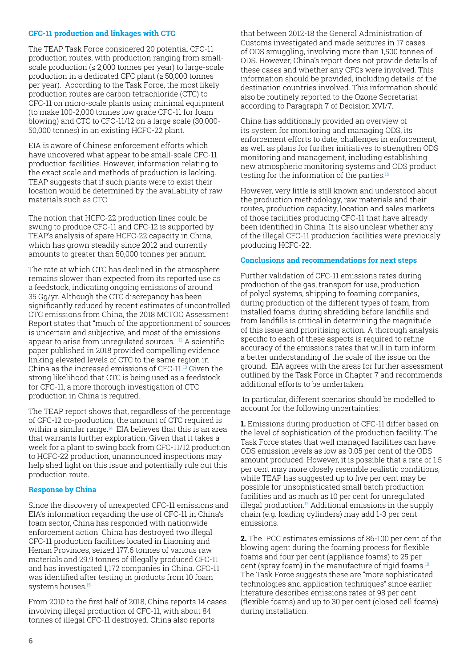#### **CFC-11 production and linkages with CTC**

The TEAP Task Force considered 20 potential CFC-11 production routes, with production ranging from smallscale production ( $\leq 2,000$  tonnes per year) to large-scale production in a dedicated CFC plant (≥ 50,000 tonnes per year). According to the Task Force, the most likely production routes are carbon tetrachloride (CTC) to CFC-11 on micro-scale plants using minimal equipment (to make 100-2,000 tonnes low grade CFC-11 for foam blowing) and CTC to CFC-11/12 on a large scale (30,000- 50,000 tonnes) in an existing HCFC-22 plant.

EIA is aware of Chinese enforcement efforts which have uncovered what appear to be small-scale CFC-11 production facilities. However, information relating to the exact scale and methods of production is lacking. TEAP suggests that if such plants were to exist their location would be determined by the availability of raw materials such as CTC.

The notion that HCFC-22 production lines could be swung to produce CFC-11 and CFC-12 is supported by TEAP's analysis of spare HCFC-22 capacity in China, which has grown steadily since 2012 and currently amounts to greater than 50,000 tonnes per annum.

The rate at which CTC has declined in the atmosphere remains slower than expected from its reported use as a feedstock, indicating ongoing emissions of around 35 Gg/yr. Although the CTC discrepancy has been significantly reduced by recent estimates of uncontrolled CTC emissions from China, the 2018 MCTOC Assessment Report states that "much of the apportionment of sources is uncertain and subjective, and most of the emissions appear to arise from unregulated sources." <sup>12</sup> A scientific paper published in 2018 provided compelling evidence linking elevated levels of CTC to the same region in China as the increased emissions of CFC-11.13 Given the strong likelihood that CTC is being used as a feedstock for CFC-11, a more thorough investigation of CTC production in China is required.

The TEAP report shows that, regardless of the percentage of CFC-12 co-production, the amount of CTC required is within a similar range.<sup>14</sup> EIA believes that this is an area that warrants further exploration. Given that it takes a week for a plant to swing back from CFC-11/12 production to HCFC-22 production, unannounced inspections may help shed light on this issue and potentially rule out this production route.

#### **Response by China**

Since the discovery of unexpected CFC-11 emissions and EIA's information regarding the use of CFC-11 in China's foam sector, China has responded with nationwide enforcement action. China has destroyed two illegal CFC-11 production facilities located in Liaoning and Henan Provinces, seized 177.6 tonnes of various raw materials and 29.9 tonnes of illegally produced CFC-11 and has investigated 1,172 companies in China. CFC-11 was identified after testing in products from 10 foam systems houses.<sup>15</sup>

From 2010 to the first half of 2018, China reports 14 cases involving illegal production of CFC-11, with about 84 tonnes of illegal CFC-11 destroyed. China also reports

that between 2012-18 the General Administration of Customs investigated and made seizures in 17 cases of ODS smuggling, involving more than 1,500 tonnes of ODS. However, China's report does not provide details of these cases and whether any CFCs were involved. This information should be provided, including details of the destination countries involved. This information should also be routinely reported to the Ozone Secretariat according to Paragraph 7 of Decision XVI/7.

China has additionally provided an overview of its system for monitoring and managing ODS, its enforcement efforts to date, challenges in enforcement, as well as plans for further initiatives to strengthen ODS monitoring and management, including establishing new atmospheric monitoring systems and ODS product testing for the information of the parties.<sup>16</sup>

However, very little is still known and understood about the production methodology, raw materials and their routes, production capacity, location and sales markets of those facilities producing CFC-11 that have already been identified in China. It is also unclear whether any of the illegal CFC-11 production facilities were previously producing HCFC-22.

#### **Conclusions and recommendations for next steps**

Further validation of CFC-11 emissions rates during production of the gas, transport for use, production of polyol systems, shipping to foaming companies, during production of the different types of foam, from installed foams, during shredding before landfills and from landfills is critical in determining the magnitude of this issue and prioritising action. A thorough analysis specific to each of these aspects is required to refine accuracy of the emissions rates that will in turn inform a better understanding of the scale of the issue on the ground. EIA agrees with the areas for further assessment outlined by the Task Force in Chapter 7 and recommends additional efforts to be undertaken.

 In particular, different scenarios should be modelled to account for the following uncertainties:

**1.** Emissions during production of CFC-11 differ based on the level of sophistication of the production facility. The Task Force states that well managed facilities can have ODS emission levels as low as 0.05 per cent of the ODS amount produced. However, it is possible that a rate of 1.5 per cent may more closely resemble realistic conditions, while TEAP has suggested up to five per cent may be possible for unsophisticated small batch production facilities and as much as 10 per cent for unregulated illegal production.<sup>17</sup> Additional emissions in the supply chain (e.g. loading cylinders) may add 1-3 per cent emissions.

**2.** The IPCC estimates emissions of 86-100 per cent of the blowing agent during the foaming process for flexible foams and four per cent (appliance foams) to 25 per cent (spray foam) in the manufacture of rigid foams.<sup>18</sup> The Task Force suggests these are "more sophisticated technologies and application techniques" since earlier literature describes emissions rates of 98 per cent (flexible foams) and up to 30 per cent (closed cell foams) during installation.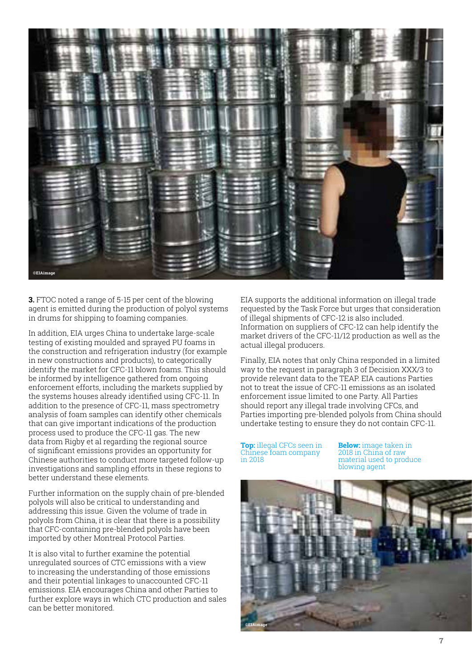

**3.** FTOC noted a range of 5-15 per cent of the blowing agent is emitted during the production of polyol systems in drums for shipping to foaming companies.

In addition, EIA urges China to undertake large-scale testing of existing moulded and sprayed PU foams in the construction and refrigeration industry (for example in new constructions and products), to categorically identify the market for CFC-11 blown foams. This should be informed by intelligence gathered from ongoing enforcement efforts, including the markets supplied by the systems houses already identified using CFC-11. In addition to the presence of CFC-11, mass spectrometry analysis of foam samples can identify other chemicals that can give important indications of the production process used to produce the CFC-11 gas. The new data from Rigby et al regarding the regional source of significant emissions provides an opportunity for Chinese authorities to conduct more targeted follow-up investigations and sampling efforts in these regions to better understand these elements.

Further information on the supply chain of pre-blended polyols will also be critical to understanding and addressing this issue. Given the volume of trade in polyols from China, it is clear that there is a possibility that CFC-containing pre-blended polyols have been imported by other Montreal Protocol Parties.

It is also vital to further examine the potential unregulated sources of CTC emissions with a view to increasing the understanding of those emissions and their potential linkages to unaccounted CFC-11 emissions. EIA encourages China and other Parties to further explore ways in which CTC production and sales can be better monitored.

EIA supports the additional information on illegal trade requested by the Task Force but urges that consideration of illegal shipments of CFC-12 is also included. Information on suppliers of CFC-12 can help identify the market drivers of the CFC-11/12 production as well as the actual illegal producers.

Finally, EIA notes that only China responded in a limited way to the request in paragraph 3 of Decision XXX/3 to provide relevant data to the TEAP. EIA cautions Parties not to treat the issue of CFC-11 emissions as an isolated enforcement issue limited to one Party. All Parties should report any illegal trade involving CFCs, and Parties importing pre-blended polyols from China should undertake testing to ensure they do not contain CFC-11.

**Top:** illegal CFCs seen in Chinese foam company in 2018

**Below:** image taken in 2018 in China of raw material used to produce blowing agent

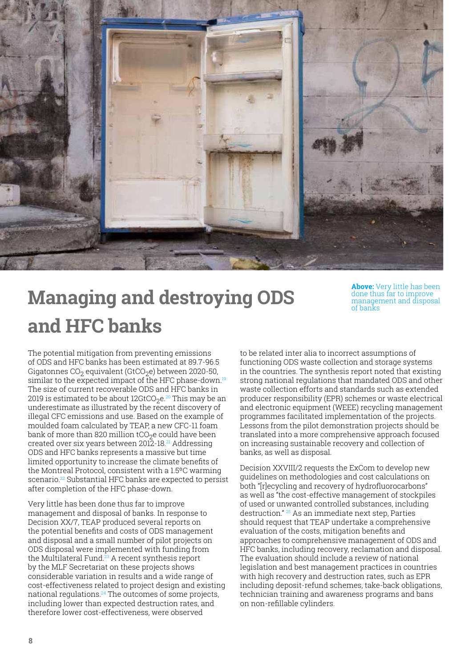

## **Managing and destroying ODS and HFC banks**

**Above:** Very little has been done thus far to improve management and disposal of banks

The potential mitigation from preventing emissions of ODS and HFC banks has been estimated at 89.7-96.5 Gigatonnes  $CO<sub>2</sub>$  equivalent (GtCO<sub>2</sub>e) between 2020-50, similar to the expected impact of the HFC phase-down.<sup>19</sup> The size of current recoverable ODS and HFC banks in 2019 is estimated to be about  $12G<sub>1</sub>CO<sub>2</sub>e<sup>20</sup>$  This may be an underestimate as illustrated by the recent discovery of illegal CFC emissions and use. Based on the example of moulded foam calculated by TEAP, a new CFC-11 foam bank of more than 820 million  $tCO<sub>2</sub>e$  could have been created over six years between 2012-18.<sup>21</sup> Addressing ODS and HFC banks represents a massive but time limited opportunity to increase the climate benefits of the Montreal Protocol, consistent with a 1.5ºC warming scenario.<sup>22</sup> Substantial HFC banks are expected to persist after completion of the HFC phase-down.

Very little has been done thus far to improve management and disposal of banks. In response to Decision XX/7, TEAP produced several reports on the potential benefits and costs of ODS management and disposal and a small number of pilot projects on ODS disposal were implemented with funding from the Multilateral Fund.<sup>23</sup> A recent synthesis report by the MLF Secretariat on these projects shows considerable variation in results and a wide range of cost-effectiveness related to project design and existing national regulations.<sup>24</sup> The outcomes of some projects, including lower than expected destruction rates, and therefore lower cost-effectiveness, were observed

to be related inter alia to incorrect assumptions of functioning ODS waste collection and storage systems in the countries. The synthesis report noted that existing strong national regulations that mandated ODS and other waste collection efforts and standards such as extended producer responsibility (EPR) schemes or waste electrical and electronic equipment (WEEE) recycling management programmes facilitated implementation of the projects. Lessons from the pilot demonstration projects should be translated into a more comprehensive approach focused on increasing sustainable recovery and collection of banks, as well as disposal.

Decision XXVIII/2 requests the ExCom to develop new guidelines on methodologies and cost calculations on both "[r]ecycling and recovery of hydrofluorocarbons" as well as "the cost-effective management of stockpiles of used or unwanted controlled substances, including destruction." 25 As an immediate next step, Parties should request that TEAP undertake a comprehensive evaluation of the costs, mitigation benefits and approaches to comprehensive management of ODS and HFC banks, including recovery, reclamation and disposal. The evaluation should include a review of national legislation and best management practices in countries with high recovery and destruction rates, such as EPR including deposit-refund schemes, take-back obligations, technician training and awareness programs and bans on non-refillable cylinders.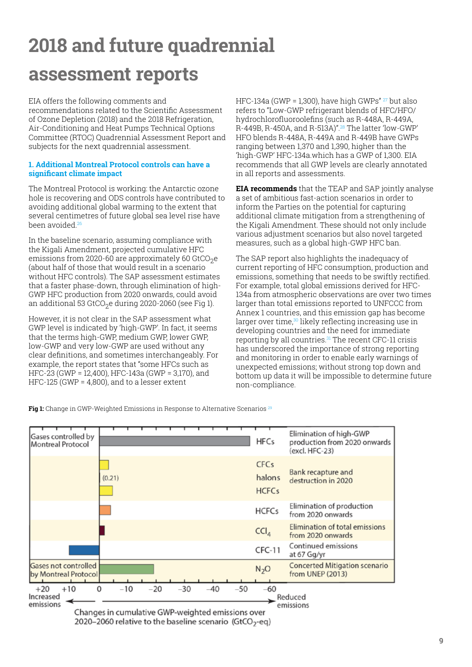## **2018 and future quadrennial assessment reports**

EIA offers the following comments and

recommendations related to the Scientific Assessment of Ozone Depletion (2018) and the 2018 Refrigeration, Air-Conditioning and Heat Pumps Technical Options Committee (RTOC) Quadrennial Assessment Report and subjects for the next quadrennial assessment.

#### **1. Additional Montreal Protocol controls can have a significant climate impact**

The Montreal Protocol is working: the Antarctic ozone hole is recovering and ODS controls have contributed to avoiding additional global warming to the extent that several centimetres of future global sea level rise have been avoided<sup>26</sup>

In the baseline scenario, assuming compliance with the Kigali Amendment, projected cumulative HFC emissions from 2020-60 are approximately 60 GtCO<sub>2</sub>e (about half of those that would result in a scenario without HFC controls). The SAP assessment estimates that a faster phase-down, through elimination of high-GWP HFC production from 2020 onwards, could avoid an additional 53 GtCO<sub>2</sub>e during 2020-2060 (see Fig 1).

However, it is not clear in the SAP assessment what GWP level is indicated by 'high-GWP'. In fact, it seems that the terms high-GWP, medium GWP, lower GWP, low-GWP and very low-GWP are used without any clear definitions, and sometimes interchangeably. For example, the report states that "some HFCs such as HFC-23 (GWP = 12,400), HFC-143a (GWP = 3,170), and HFC-125 (GWP = 4,800), and to a lesser extent

HFC-134a (GWP = 1,300), have high GWPs"  $27$  but also refers to "Low-GWP refrigerant blends of HFC/HFO/ hydrochlorofluoroolefins (such as R-448A, R-449A, R-449B, R-450A, and R-513A)".28 The latter 'low-GWP' HFO blends R-448A, R-449A and R-449B have GWPs ranging between 1,370 and 1,390, higher than the 'high-GWP' HFC-134a.which has a GWP of 1,300. EIA recommends that all GWP levels are clearly annotated in all reports and assessments.

**EIA recommends** that the TEAP and SAP jointly analyse a set of ambitious fast-action scenarios in order to inform the Parties on the potential for capturing additional climate mitigation from a strengthening of the Kigali Amendment. These should not only include various adjustment scenarios but also novel targeted measures, such as a global high-GWP HFC ban.

The SAP report also highlights the inadequacy of current reporting of HFC consumption, production and emissions, something that needs to be swiftly rectified. For example, total global emissions derived for HFC-134a from atmospheric observations are over two times larger than total emissions reported to UNFCCC from Annex 1 countries, and this emission gap has become larger over time, $30$  likely reflecting increasing use in developing countries and the need for immediate reporting by all countries. $31$  The recent CFC-11 crisis has underscored the importance of strong reporting and monitoring in order to enable early warnings of unexpected emissions; without strong top down and bottom up data it will be impossible to determine future non-compliance.

**Fig 1:** Change in GWP-Weighted Emissions in Response to Alternative Scenarios<sup>29</sup>



2020–2060 relative to the baseline scenario (GtCO<sub>2</sub>-eq)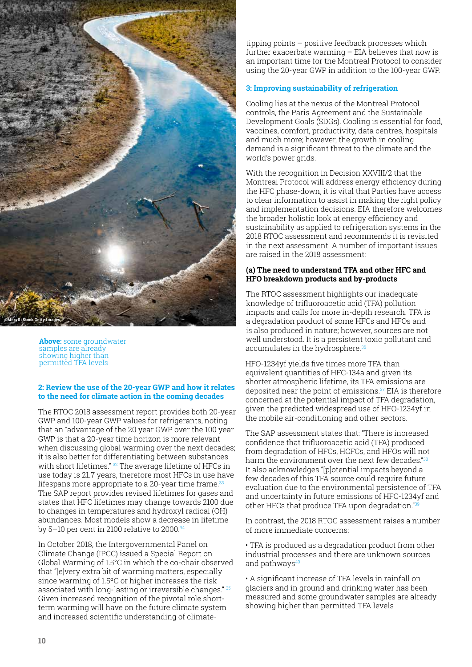

**Above:** some groundwater samples are already showing higher than permitted TFA levels

#### **2: Review the use of the 20-year GWP and how it relates to the need for climate action in the coming decades**

The RTOC 2018 assessment report provides both 20-year GWP and 100-year GWP values for refrigerants, noting that an "advantage of the 20 year GWP over the 100 year GWP is that a 20-year time horizon is more relevant when discussing global warming over the next decades; it is also better for differentiating between substances with short lifetimes." <sup>32</sup> The average lifetime of HFCs in use today is 21.7 years, therefore most HFCs in use have lifespans more appropriate to a 20-year time frame.<sup>33</sup> The SAP report provides revised lifetimes for gases and states that HFC lifetimes may change towards 2100 due to changes in temperatures and hydroxyl radical (OH) abundances. Most models show a decrease in lifetime by 5–10 per cent in 2100 relative to 2000. $34$ 

In October 2018, the Intergovernmental Panel on Climate Change (IPCC) issued a Special Report on Global Warming of 1.5°C in which the co-chair observed that "[e]very extra bit of warming matters, especially since warming of 1.5ºC or higher increases the risk associated with long-lasting or irreversible changes." 35 Given increased recognition of the pivotal role shortterm warming will have on the future climate system and increased scientific understanding of climate-

tipping points – positive feedback processes which further exacerbate warming – EIA believes that now is an important time for the Montreal Protocol to consider using the 20-year GWP in addition to the 100-year GWP.

#### **3: Improving sustainability of refrigeration**

Cooling lies at the nexus of the Montreal Protocol controls, the Paris Agreement and the Sustainable Development Goals (SDGs). Cooling is essential for food, vaccines, comfort, productivity, data centres, hospitals and much more; however, the growth in cooling demand is a significant threat to the climate and the world's power grids.

With the recognition in Decision XXVIII/2 that the Montreal Protocol will address energy efficiency during the HFC phase-down, it is vital that Parties have access to clear information to assist in making the right policy and implementation decisions. EIA therefore welcomes the broader holistic look at energy efficiency and sustainability as applied to refrigeration systems in the 2018 RTOC assessment and recommends it is revisited in the next assessment. A number of important issues are raised in the 2018 assessment:

#### **(a) The need to understand TFA and other HFC and HFO breakdown products and by-products**

The RTOC assessment highlights our inadequate knowledge of trifluoroacetic acid (TFA) pollution impacts and calls for more in-depth research. TFA is a degradation product of some HFCs and HFOs and is also produced in nature; however, sources are not well understood. It is a persistent toxic pollutant and accumulates in the hydrosphere.<sup>36</sup>

HFO-1234yf yields five times more TFA than equivalent quantities of HFC-134a and given its shorter atmospheric lifetime, its TFA emissions are deposited near the point of emissions.<sup>37</sup> EIA is therefore concerned at the potential impact of TFA degradation, given the predicted widespread use of HFO-1234yf in the mobile air-conditioning and other sectors.

The SAP assessment states that: "There is increased confidence that trifluoroacetic acid (TFA) produced from degradation of HFCs, HCFCs, and HFOs will not harm the environment over the next few decades."<sup>38</sup> It also acknowledges "[p]otential impacts beyond a few decades of this TFA source could require future evaluation due to the environmental persistence of TFA and uncertainty in future emissions of HFC-1234yf and other HFCs that produce TFA upon degradation."<sup>39</sup>

In contrast, the 2018 RTOC assessment raises a number of more immediate concerns:

• TFA is produced as a degradation product from other industrial processes and there are unknown sources and pathways<sup>40</sup>

• A significant increase of TFA levels in rainfall on glaciers and in ground and drinking water has been measured and some groundwater samples are already showing higher than permitted TFA levels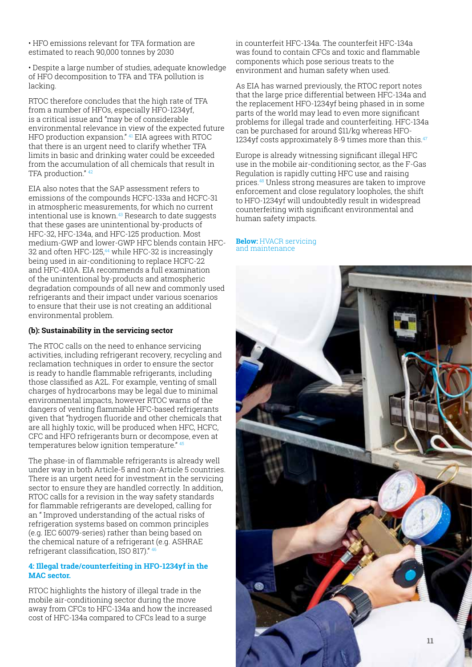• HFO emissions relevant for TFA formation are estimated to reach 90,000 tonnes by 2030

• Despite a large number of studies, adequate knowledge of HFO decomposition to TFA and TFA pollution is lacking.

RTOC therefore concludes that the high rate of TFA from a number of HFOs, especially HFO-1234yf, is a critical issue and "may be of considerable environmental relevance in view of the expected future HFO production expansion." 41 EIA agrees with RTOC that there is an urgent need to clarify whether TFA limits in basic and drinking water could be exceeded from the accumulation of all chemicals that result in TFA production." 42

EIA also notes that the SAP assessment refers to emissions of the compounds HCFC-133a and HCFC-31 in atmospheric measurements, for which no current intentional use is known.<sup>43</sup> Research to date suggests that these gases are unintentional by-products of HFC-32, HFC-134a, and HFC-125 production. Most medium-GWP and lower-GWP HFC blends contain HFC-32 and often HFC-125,<sup>44</sup> while HFC-32 is increasingly being used in air-conditioning to replace HCFC-22 and HFC-410A. EIA recommends a full examination of the unintentional by-products and atmospheric degradation compounds of all new and commonly used refrigerants and their impact under various scenarios to ensure that their use is not creating an additional environmental problem.

#### **(b): Sustainability in the servicing sector**

The RTOC calls on the need to enhance servicing activities, including refrigerant recovery, recycling and reclamation techniques in order to ensure the sector is ready to handle flammable refrigerants, including those classified as A2L. For example, venting of small charges of hydrocarbons may be legal due to minimal environmental impacts, however RTOC warns of the dangers of venting flammable HFC-based refrigerants given that "hydrogen fluoride and other chemicals that are all highly toxic, will be produced when HFC, HCFC, CFC and HFO refrigerants burn or decompose, even at temperatures below ignition temperature." 45

The phase-in of flammable refrigerants is already well under way in both Article-5 and non-Article 5 countries. There is an urgent need for investment in the servicing sector to ensure they are handled correctly. In addition, RTOC calls for a revision in the way safety standards for flammable refrigerants are developed, calling for an " Improved understanding of the actual risks of refrigeration systems based on common principles (e.g. IEC 60079-series) rather than being based on the chemical nature of a refrigerant (e.g. ASHRAE refrigerant classification, ISO 817)." 46

#### **4: Illegal trade/counterfeiting in HFO-1234yf in the MAC sector.**

RTOC highlights the history of illegal trade in the mobile air-conditioning sector during the move away from CFCs to HFC-134a and how the increased cost of HFC-134a compared to CFCs lead to a surge

in counterfeit HFC-134a. The counterfeit HFC-134a was found to contain CFCs and toxic and flammable components which pose serious treats to the environment and human safety when used.

As EIA has warned previously, the RTOC report notes that the large price differential between HFC-134a and the replacement HFO-1234yf being phased in in some parts of the world may lead to even more significant problems for illegal trade and counterfeiting. HFC-134a can be purchased for around \$11/kg whereas HFO-1234yf costs approximately 8-9 times more than this. $47$ 

Europe is already witnessing significant illegal HFC use in the mobile air-conditioning sector, as the F-Gas Regulation is rapidly cutting HFC use and raising prices.48 Unless strong measures are taken to improve enforcement and close regulatory loopholes, the shift to HFO-1234yf will undoubtedly result in widespread counterfeiting with significant environmental and human safety impacts.

#### **Below:** HVACR servicing and maintenance

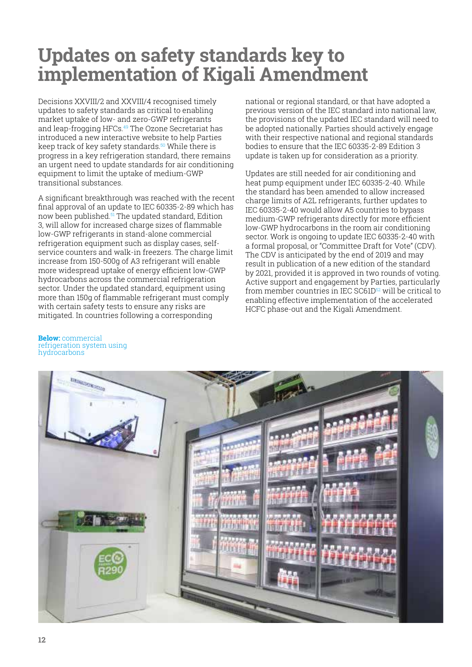### **Updates on safety standards key to implementation of Kigali Amendment**

Decisions XXVIII/2 and XXVIII/4 recognised timely updates to safety standards as critical to enabling market uptake of low- and zero-GWP refrigerants and leap-frogging HFCs.49 The Ozone Secretariat has introduced a new interactive website to help Parties keep track of key safety standards.<sup>50</sup> While there is progress in a key refrigeration standard, there remains an urgent need to update standards for air conditioning equipment to limit the uptake of medium-GWP transitional substances.

A significant breakthrough was reached with the recent final approval of an update to IEC 60335-2-89 which has now been published.51 The updated standard, Edition 3, will allow for increased charge sizes of flammable low-GWP refrigerants in stand-alone commercial refrigeration equipment such as display cases, selfservice counters and walk-in freezers. The charge limit increase from 150-500g of A3 refrigerant will enable more widespread uptake of energy efficient low-GWP hydrocarbons across the commercial refrigeration sector. Under the updated standard, equipment using more than 150g of flammable refrigerant must comply with certain safety tests to ensure any risks are mitigated. In countries following a corresponding

national or regional standard, or that have adopted a previous version of the IEC standard into national law, the provisions of the updated IEC standard will need to be adopted nationally. Parties should actively engage with their respective national and regional standards bodies to ensure that the IEC 60335-2-89 Edition 3 update is taken up for consideration as a priority.

Updates are still needed for air conditioning and heat pump equipment under IEC 60335-2-40. While the standard has been amended to allow increased charge limits of A2L refrigerants, further updates to IEC 60335-2-40 would allow A5 countries to bypass medium-GWP refrigerants directly for more efficient low-GWP hydrocarbons in the room air conditioning sector. Work is ongoing to update IEC 60335-2-40 with a formal proposal, or "Committee Draft for Vote" (CDV). The CDV is anticipated by the end of 2019 and may result in publication of a new edition of the standard by 2021, provided it is approved in two rounds of voting. Active support and engagement by Parties, particularly from member countries in IEC SC61D52 will be critical to enabling effective implementation of the accelerated HCFC phase-out and the Kigali Amendment.

#### **Below:** commercial refrigeration system using hydrocarbons

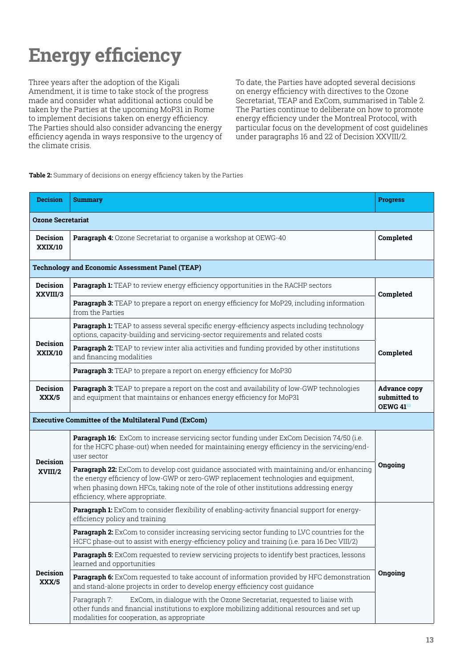## **Energy efficiency**

Three years after the adoption of the Kigali Amendment, it is time to take stock of the progress made and consider what additional actions could be taken by the Parties at the upcoming MoP31 in Rome to implement decisions taken on energy efficiency. The Parties should also consider advancing the energy efficiency agenda in ways responsive to the urgency of the climate crisis.

To date, the Parties have adopted several decisions on energy efficiency with directives to the Ozone Secretariat, TEAP and ExCom, summarised in Table 2. The Parties continue to deliberate on how to promote energy efficiency under the Montreal Protocol, with particular focus on the development of cost guidelines under paragraphs 16 and 22 of Decision XXVIII/2.

#### **Table 2:** Summary of decisions on energy efficiency taken by the Parties

| <b>Decision</b>                                             | <b>Summary</b>                                                                                                                                                                                                                                                                                                 | <b>Progress</b>                                         |  |  |  |
|-------------------------------------------------------------|----------------------------------------------------------------------------------------------------------------------------------------------------------------------------------------------------------------------------------------------------------------------------------------------------------------|---------------------------------------------------------|--|--|--|
| <b>Ozone Secretariat</b>                                    |                                                                                                                                                                                                                                                                                                                |                                                         |  |  |  |
| <b>Decision</b><br><b>XXIX/10</b>                           | Paragraph 4: Ozone Secretariat to organise a workshop at OEWG-40                                                                                                                                                                                                                                               | Completed                                               |  |  |  |
| <b>Technology and Economic Assessment Panel (TEAP)</b>      |                                                                                                                                                                                                                                                                                                                |                                                         |  |  |  |
| <b>Decision</b><br>XXVIII/3                                 | Paragraph 1: TEAP to review energy efficiency opportunities in the RACHP sectors                                                                                                                                                                                                                               | Completed                                               |  |  |  |
|                                                             | Paragraph 3: TEAP to prepare a report on energy efficiency for MoP29, including information<br>from the Parties                                                                                                                                                                                                |                                                         |  |  |  |
|                                                             | Paragraph 1: TEAP to assess several specific energy-efficiency aspects including technology<br>options, capacity-building and servicing-sector requirements and related costs                                                                                                                                  | Completed                                               |  |  |  |
| <b>Decision</b><br><b>XXIX/10</b>                           | Paragraph 2: TEAP to review inter alia activities and funding provided by other institutions<br>and financing modalities                                                                                                                                                                                       |                                                         |  |  |  |
|                                                             | Paragraph 3: TEAP to prepare a report on energy efficiency for MoP30                                                                                                                                                                                                                                           |                                                         |  |  |  |
| <b>Decision</b><br>XXX/5                                    | Paragraph 3: TEAP to prepare a report on the cost and availability of low-GWP technologies<br>and equipment that maintains or enhances energy efficiency for MoP31                                                                                                                                             | <b>Advance copy</b><br>submitted to<br><b>OEWG 4153</b> |  |  |  |
| <b>Executive Committee of the Multilateral Fund (ExCom)</b> |                                                                                                                                                                                                                                                                                                                |                                                         |  |  |  |
| <b>Decision</b><br>XVIII/2                                  | Paragraph 16: ExCom to increase servicing sector funding under ExCom Decision 74/50 (i.e.<br>for the HCFC phase-out) when needed for maintaining energy efficiency in the servicing/end-<br>user sector                                                                                                        | Ongoing                                                 |  |  |  |
|                                                             | Paragraph 22: ExCom to develop cost guidance associated with maintaining and/or enhancing<br>the energy efficiency of low-GWP or zero-GWP replacement technologies and equipment,<br>when phasing down HFCs, taking note of the role of other institutions addressing energy<br>efficiency, where appropriate. |                                                         |  |  |  |
|                                                             | Paragraph 1: ExCom to consider flexibility of enabling-activity financial support for energy-<br>efficiency policy and training                                                                                                                                                                                |                                                         |  |  |  |
|                                                             | Paragraph 2: ExCom to consider increasing servicing sector funding to LVC countries for the<br>HCFC phase-out to assist with energy-efficiency policy and training (i.e. para 16 Dec VIII/2)                                                                                                                   |                                                         |  |  |  |
| Decision<br>XXX/5                                           | Paragraph 5: ExCom requested to review servicing projects to identify best practices, lessons<br>learned and opportunities                                                                                                                                                                                     |                                                         |  |  |  |
|                                                             | Paragraph 6: ExCom requested to take account of information provided by HFC demonstration<br>and stand-alone projects in order to develop energy efficiency cost quidance                                                                                                                                      | Ongoing                                                 |  |  |  |
|                                                             | ExCom, in dialogue with the Ozone Secretariat, requested to liaise with<br>Paragraph 7:<br>other funds and financial institutions to explore mobilizing additional resources and set up<br>modalities for cooperation, as appropriate                                                                          |                                                         |  |  |  |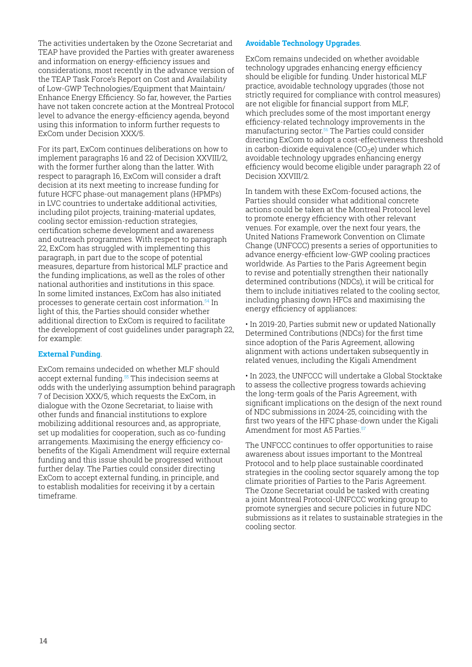The activities undertaken by the Ozone Secretariat and TEAP have provided the Parties with greater awareness and information on energy-efficiency issues and considerations, most recently in the advance version of the TEAP Task Force's Report on Cost and Availability of Low-GWP Technologies/Equipment that Maintain/ Enhance Energy Efficiency. So far, however, the Parties have not taken concrete action at the Montreal Protocol level to advance the energy-efficiency agenda, beyond using this information to inform further requests to ExCom under Decision XXX/5.

For its part, ExCom continues deliberations on how to implement paragraphs 16 and 22 of Decision XXVIII/2, with the former further along than the latter. With respect to paragraph 16, ExCom will consider a draft decision at its next meeting to increase funding for future HCFC phase-out management plans (HPMPs) in LVC countries to undertake additional activities, including pilot projects, training-material updates, cooling sector emission-reduction strategies, certification scheme development and awareness and outreach programmes. With respect to paragraph 22, ExCom has struggled with implementing this paragraph, in part due to the scope of potential measures, departure from historical MLF practice and the funding implications, as well as the roles of other national authorities and institutions in this space. In some limited instances, ExCom has also initiated processes to generate certain cost information.54 In light of this, the Parties should consider whether additional direction to ExCom is required to facilitate the development of cost guidelines under paragraph 22, for example:

#### **External Funding**.

ExCom remains undecided on whether MLF should accept external funding.<sup>55</sup> This indecision seems at odds with the underlying assumption behind paragraph 7 of Decision XXX/5, which requests the ExCom, in dialogue with the Ozone Secretariat, to liaise with other funds and financial institutions to explore mobilizing additional resources and, as appropriate, set up modalities for cooperation, such as co-funding arrangements. Maximising the energy efficiency cobenefits of the Kigali Amendment will require external funding and this issue should be progressed without further delay. The Parties could consider directing ExCom to accept external funding, in principle, and to establish modalities for receiving it by a certain timeframe.

#### **Avoidable Technology Upgrades**.

ExCom remains undecided on whether avoidable technology upgrades enhancing energy efficiency should be eligible for funding. Under historical MLF practice, avoidable technology upgrades (those not strictly required for compliance with control measures) are not eligible for financial support from MLF, which precludes some of the most important energy efficiency-related technology improvements in the manufacturing sector.<sup>56</sup> The Parties could consider directing ExCom to adopt a cost-effectiveness threshold in carbon-dioxide equivalence  $(CO<sub>2</sub>e)$  under which avoidable technology upgrades enhancing energy efficiency would become eligible under paragraph 22 of Decision XXVIII/2.

In tandem with these ExCom-focused actions, the Parties should consider what additional concrete actions could be taken at the Montreal Protocol level to promote energy efficiency with other relevant venues. For example, over the next four years, the United Nations Framework Convention on Climate Change (UNFCCC) presents a series of opportunities to advance energy-efficient low-GWP cooling practices worldwide. As Parties to the Paris Agreement begin to revise and potentially strengthen their nationally determined contributions (NDCs), it will be critical for them to include initiatives related to the cooling sector, including phasing down HFCs and maximising the energy efficiency of appliances:

• In 2019-20, Parties submit new or updated Nationally Determined Contributions (NDCs) for the first time since adoption of the Paris Agreement, allowing alignment with actions undertaken subsequently in related venues, including the Kigali Amendment

• In 2023, the UNFCCC will undertake a Global Stocktake to assess the collective progress towards achieving the long-term goals of the Paris Agreement, with significant implications on the design of the next round of NDC submissions in 2024-25, coinciding with the first two years of the HFC phase-down under the Kigali Amendment for most A5 Parties<sup>57</sup>

The UNFCCC continues to offer opportunities to raise awareness about issues important to the Montreal Protocol and to help place sustainable coordinated strategies in the cooling sector squarely among the top climate priorities of Parties to the Paris Agreement. The Ozone Secretariat could be tasked with creating a joint Montreal Protocol-UNFCCC working group to promote synergies and secure policies in future NDC submissions as it relates to sustainable strategies in the cooling sector.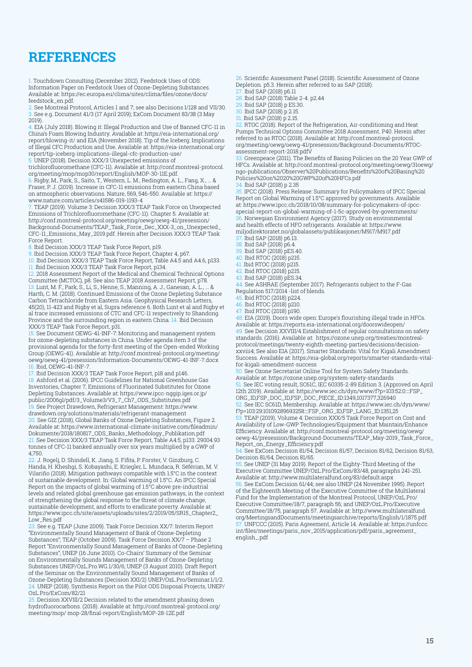### **REFERENCES**

1. Touchdown Consulting (December 2012). Feedstock Uses of ODS: Information Paper on Feedstock Uses of Ozone-Depleting Substances. Available at: https://ec.europa.eu/clima/sites/clima/files/ozone/docs/ feedstock\_en.pdf.

2. See Montreal Protocol, Articles 1 and 7; see also Decisions I/128 and VII/30. 3. See e.g. Document 41/3 (17 April 2019); ExCom Document 83/38 (3 May 2019).

4. EIA (July 2018). Blowing it: Illegal Production and Use of Banned CFC-11 in China's Foam Blowing Industry. Available at: https://eia-international.org/ report/blowing-it/ and EIA (November 2018). Tip of the Iceberg: Implications of Illegal CFC Production and Use. Available at: https://eia-international.org/ report/tip-iceberg-implications-illegal-cfc-production-use/

5. UNEP (2018). Decision XXX/3 Unexpected emissions of

trichlorofluoromethane (CFC-11). Available at: http://conf.montreal-protocol. org/meeting/mop/mop30/report/English/MOP-30-11E.pdf.

6. Rigby, M., Park, S., Saito, T., Western, L. M., Redington, A. L., Fang, X., ... & Fraser, P. J. (2019). Increase in CFC-11 emissions from eastern China based on atmospheric observations. Nature, 569, 546-550. Available at: https:// www.nature.com/articles/s41586-019-1193-4

7. TEAP (2019). Volume 3: Decision XXX/3 TEAP Task Force on Unexpected Emissions of Trichlorofluoromethane (CFC-11). Chapter 5. Available at: http://conf.montreal-protocol.org/meeting/oewg/oewg-41/presession/ Background-Documents/TEAP\_Task\_Force\_Dec\_XXX-3\_on\_Unexpected\_ CFC-11\_Emissions\_May\_2019.pdf. Herein after Decision XXX/3 TEAP Task Force Report.

8. Ibid Decision XXX/3 TEAP Task Force Report, p19.

9. Ibid Decision XXX/3 TEAP Task Force Report, Chapter 4, p67.

10. Ibid Decision XXX/3 TEAP Task Force Report, Table A4.5 and A4.6, p133. 11. Ibid Decision XXX/3 TEAP Task Force Report, p134.

12. 2018 Assessment Report of the Medical and Chemical Technical Options

Committee (MCTOC), p8. See also TEAP 2018 Assessment Report, p78. 13. Lunt, M. F., Park, S., Li, S., Henne, S., Manning, A. J., Ganesan, A. L., ... & Harth, C. M. (2018). Continued Emissions of the Ozone Depleting Substance Carbon Tetrachloride from Eastern Asia. Geophysical Research Letters, 45(20), 11-423 and Rigby et al, Supra reference 6. Both Lunt et al and Rigby et al trace increased emissions of CTC and CFC-11 respectively to Shandong Province and the surrounding region in eastern China. 14. Ibid Decision XXX/3 TEAP Task Force Report, p31.

15. See Document OEWG-41-INF-7: Monitoring and management system for ozone-depleting substances in China. Under agenda item 3 of the provisional agenda for the forty-first meeting of the Open-ended Working Group (OEWG-41). Available at: http://conf.montreal-protocol.org/meeting/ oewg/oewg-41/presession/Information-Documents/OEWG-41-INF-7.docx 16. Ibid, OEWG-41-INF-7.

17. Ibid Decision XXX/3 TEAP Task Force Report, p18 and p146. 18. Ashford et al. (2006). IPCC Guidelines for National Greenhouse Gas Inventories, Chapter 7, Emissions of Fluorinated Substitutes for Ozone Depleting Substances. Available at: https://www.ipcc-nggip.iges.or.jp/ public/2006gl/pdf/3\_Volume3/V3\_7\_Ch7\_ODS\_Substitutes.pdf 19. See Project Drawdown, Refrigerant Management: https://www. drawdown.org/solutions/materials/refrigerant-management 20. See GIZ (2018), Global Banks of Ozone Depleting Substances, Figure 2. Available at: https://www.international-climate-initiative.com/fileadmin/ Dokumente/2018/180817\_ODS\_Banks\_Methodology\_Publikation.pdf 21. See Decision XXX/3 TEAP Task Force Report, Table A4.5, p133. 29004.93 tonnes of CFC-11 banked annually over six years multiplied by a GWP of 4,750.

22. J. Rogelj, D. Shindell, K. Jiang, S. Fifita, P. Forster, V. Ginzburg, C. Handa, H. Kheshgi, S. Kobayashi, E. Kriegler, L. Mundaca, R. Séférian, M. V. Vilariño (2018). Mitigation pathways compatible with 1.5°C in the context of sustainable development. In: Global warming of 1.5°C. An IPCC Special Report on the impacts of global warming of 1.5°C above pre-industrial levels and related global greenhouse gas emission pathways, in the context of strengthening the global response to the threat of climate change, sustainable development, and efforts to eradicate poverty. Available at: https://www.ipcc.ch/site/assets/uploads/sites/2/2019/05/SR15\_Chapter2\_ Low\_Res.pdf

23. See e.g. TEAP (June 2009). Task Force Decision XX/7: Interim Report "Environmentally Sound Management of Bank of Ozone-Depleting Substances"; TEAP (October 2009). Task Force Decision XX/7 – Phase 2 Report "Environmentally Sound Management of Banks of Ozone-Depleting Substances"; UNEP (16 June 2010). Co-Chairs' Summary of the Seminar on Environmentally Sounds Management of Banks of Ozone-Depleting Substances UNEP/OzL.Pro.WG.1/30/6; UNEP (3 August 2010). Draft Report of the Seminar on the Environmentally Sound Management of Banks of Ozone-Depleting Substances (Decision XXI/2) UNEP/OzL.Pro/Seminar.1/1/2.  $24$ . UNEP (2018). Synthesis Report on the Pilot ODS Disposal Projects, UNEP/ OzL.Pro/ExCom/82/21

Decision XXVIII/2 Decision related to the amendment phasing down hydrofluorocarbons. (2018). Available at: http://conf.montreal-protocol.org/ meeting/mop/ mop-28/final-report/English/MOP-28-12E.pdf

26. Scientific Assessment Panel (2018). Scientific Assessment of Ozone Depletion. p5.3. Herein after referred to as SAP (2018).

27. Ibid SAP (2018) p6.11

28. Ibid SAP (2018) Table 2-4. p2.44

29. Ibid SAP (2018) p ES.30.<br>30. Ibid SAP (2018) p 2.15

30. Ibid SAP (2018) p 2.15.

31. Ibid SAP (2018) p 2.15.

 $32$ . RTOC (2018). Report of the Refrigeration, Air-conditioning and Heat Pumps Technical Options Committee 2018 Assessment. P40. Herein after referred to as RTOC (2018). Available at: http://conf.montreal-protocol. org/meeting/oewg/oewg-41/presession/Background-Documents/RTOCassessment-report-2018.pdfV

33. Greenpeace (2011). The Benefits of Basing Policies on the 20 Year GWP of HFCs. Available at: http://conf.montreal-protocol.org/meeting/oewg/31oewg/ ngo-publications/Observer%20Publications/Benefits%20of%20Basing%20 Policies%20on%2020%20GWP%20of%20HFCs.pdf

34. Ibid SAP (2018) p 2.35

35. IPCC (2018). Press Release: Summary for Policymakers of IPCC Special Report on Global Warming of 1.5°C approved by governments. Available at: https://www.ipcc.ch/2018/10/08/summary-for-policymakers-of-ipccspecial-report-on-global-warming-of-1-5c-approved-by-governments/ 36. Norwegian Environment Agency (2017). Study on environmental and health effects of HFO refrigerants. Available at: https://www. miljodirektoratet.no/globalassets/publikasjoner/M917/M917.pdf

37. Ibid SAP (2018) p6.13.<br>38. Ibid SAP (2018) p6.4 Ibid SAP (2018) p6.4.

39. Ibid SAP (2018) pES.40.

40. Ibid RTOC (2018) p215.

41. Ibid RTOC (2018) p215.

42. Ibid RTOC (2018) p215.

43. Ibid SAP (2018) pES.34.

44. See ASHRAE (September 2017). Refrigerants subject to the F-Gas Regulation 517/2014 -list of blends.

45. Ibid RTOC (2018) p224.

46. Ibid RTOC (2018) p210

47. Ibid RTOC (2018) p190.

48. EIA (2019). Doors wide open: Europe's flourishing illegal trade in HFCs. Available at: https://reports.eia-international.org/doorswideopen/  $49$ . See Decision XXVIII/4 Establishment of regular consultations on safety standards. (2016). Available at: https://ozone.unep.org/treaties/montrealprotocol/meetings/twenty-eighth-meeting-parties/decisions/decisionxxviii4; See also EIA (2017). Smarter Standards: Vital for Kigali Amendment Success. Available at: https://eia-global.org/reports/smarter-standards-vitalfor-kigali-amendment-success

. See Ozone Secretariat Online Tool for System Safety Standards.

Available at: https://ozone.unep.org/system-safety-standards 51. See IEC voting result, SC61C, IEC 60335-2-89 Edition 3. (Approved on April 12th 2019). Available at: https://www.iec.ch/dyn/www/f?p=103:52:0::::FSP\_ ORG\_ID,FSP\_DOC\_ID,FSP\_DOC\_PIECE\_ID:1349,1017377,326940

52. See IEC SC61D, Membership. Available at: https://www.iec.ch/dyn/www/ f?p=103:29:10109289693258::::FSP\_ORG\_ID,FSP\_LANG\_ID:1351,25

TEAP (2019). Volume 4: Decision XXX/5 Task Force Report on Cost and Availability of Low-GWP Technologies/Equipment that Maintain/Enhance Efficiency. Available at: http://conf.montreal-protocol.org/meeting/oewg/ oewg-41/presession/Background-Documents/TEAP\_May-2019\_Task\_Force\_ Report\_on\_Energy\_Efficiency.pdf

54. See ExCom Decision 81/54, Decision 81/57, Decision 81/62, Decision 81/63, Decision 81/64, Decision 81/65.

55. See UNEP (31 May 2019). Report of the Eighty-Third Meeting of the Executive Committee UNEP/OzL.Pro/ExCom/83/48, paragraphs 241-251. Available at: http://www.multilateralfund.org/83/default.aspx 56. See ExCom Decision 61/44; see also UNEP (24 November 1995). Report of the Eighteenth Meeting of the Executive Committee of the Multilateral Fund for the Implementation of the Montreal Protocol, UNEP/OzL.Pro/ Executive Committee/18/7, paragraph 56; and UNEP/OzL.Pro/Executive Committee/18/75, paragraph 57. Available at: http://www.multilateralfund. org/MeetingsandDocuments/meetingsarchive/reports/English/1/1875.pdf 57. UNFCCC (2015). Paris Agreement, Article 14. Available at: https://unfccc. int/files/meetings/paris\_nov\_2015/application/pdf/paris\_agreement\_ english\_.pdf